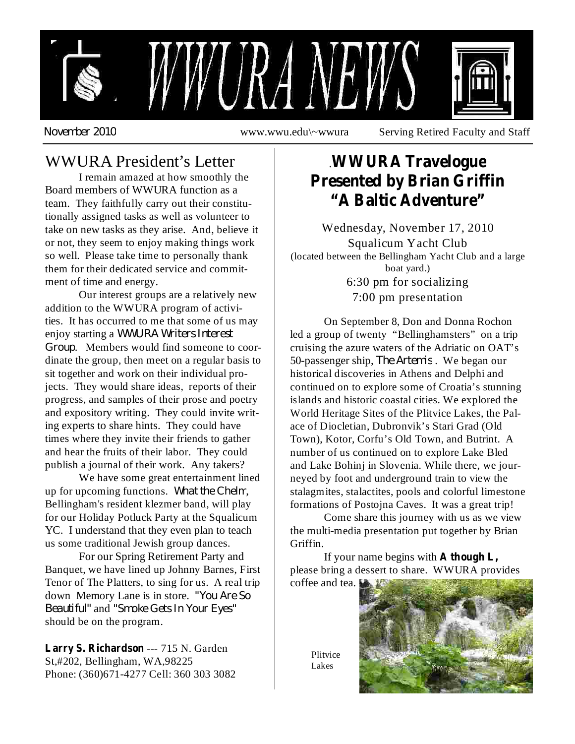

*November 2010*

www.wwu.edu\~wwura Serving Retired Faculty and Staff

# WWURA President's Letter

I remain amazed at how smoothly the Board members of WWURA function as a team. They faithfully carry out their constitutionally assigned tasks as well as volunteer to take on new tasks as they arise. And, believe it or not, they seem to enjoy making things work so well. Please take time to personally thank them for their dedicated service and commitment of time and energy.

*WWURA Writers Interest* enjoy starting a *Group* . Members would find someone to coor-Our interest groups are a relatively new addition to the WWURA program of activities. It has occurred to me that some of us may dinate the group, then meet on a regular basis to sit together and work on their individual projects. They would share ideas, reports of their progress, and samples of their prose and poetry and expository writing. They could invite writing experts to share hints. They could have times where they invite their friends to gather and hear the fruits of their labor. They could publish a journal of their work. Any takers?

up for upcoming functions. What the Chelm, We have some great entertainment lined Bellingham's resident klezmer band, will play for our Holiday Potluck Party at the Squalicum YC. I understand that they even plan to teach us some traditional Jewish group dances.

*"You Are So* down Memory Lane is in store. *Beautiful" "Smoke Gets In Your Eyes"* and For our Spring Retirement Party and Banquet, we have lined up Johnny Barnes, First Tenor of The Platters, to sing for us. A real trip should be on the program.

Larry S. Richardson --- 715 N. Garden St,#202, Bellingham, WA,98225 Phone: (360)671-4277 Cell: 360 303 3082

## . **WWURA Travelogue Presented by Brian Griffin "A Baltic Adventure"**

Wednesday, November 17, 2010 Squalicum Yacht Club (located between the Bellingham Yacht Club and a large boat yard.) 6:30 pm for socializing 7:00 pm presentation

50-passenger ship, *The Artemis*. We began our On September 8, Don and Donna Rochon led a group of twenty "Bellinghamsters" on a trip cruising the azure waters of the Adriatic on OAT's historical discoveries in Athens and Delphi and continued on to explore some of Croatia's stunning islands and historic coastal cities. We explored the World Heritage Sites of the Plitvice Lakes, the Palace of Diocletian, Dubronvik's Stari Grad (Old Town), Kotor, Corfu's Old Town, and Butrint. A number of us continued on to explore Lake Bled and Lake Bohinj in Slovenia. While there, we journeyed by foot and underground train to view the stalagmites, stalactites, pools and colorful limestone formations of Postojna Caves. It was a great trip!

Come share this journey with us as we view the multi-media presentation put together by Brian Griffin.

If your name begins with **A though L,**please bring a dessert to share. WWURA provides

coffee and tea.

Plitvice Lakes

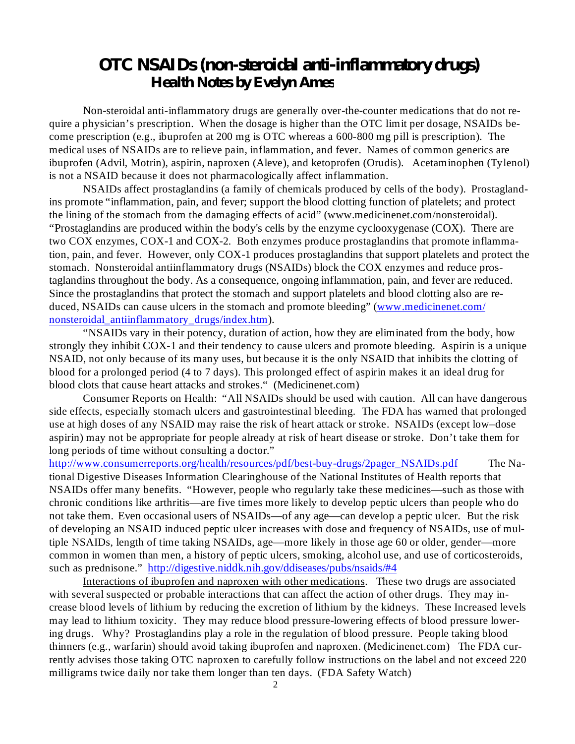### *OTC NSAIDs (non-steroidal anti-inflammatory drugs) Health Notes by Evelyn Ames*

Non-steroidal anti-inflammatory drugs are generally over-the-counter medications that do not require a physician's prescription. When the dosage is higher than the OTC limit per dosage, NSAIDs become prescription (e.g., ibuprofen at 200 mg is OTC whereas a 600-800 mg pill is prescription). The medical uses of NSAIDs are to relieve pain, inflammation, and fever. Names of common generics are ibuprofen (Advil, Motrin), aspirin, naproxen (Aleve), and ketoprofen (Orudis). Acetaminophen (Tylenol) is not a NSAID because it does not pharmacologically affect inflammation.

NSAIDs affect prostaglandins (a family of chemicals produced by cells of the body). Prostaglandins promote "inflammation, pain, and fever; support the blood clotting function of platelets; and protect the lining of the stomach from the damaging effects of acid" (www.medicinenet.com/nonsteroidal). "Prostaglandins are produced within the body's cells by the enzyme cyclooxygenase (COX). There are two COX enzymes, COX-1 and COX-2. Both enzymes produce prostaglandins that promote inflammation, pain, and fever. However, only COX-1 produces prostaglandins that support platelets and protect the stomach. Nonsteroidal antiinflammatory drugs (NSAIDs) block the COX enzymes and reduce prostaglandins throughout the body. As a consequence, ongoing inflammation, pain, and fever are reduced. Since the prostaglandins that protect the stomach and support platelets and blood clotting also are reduced, NSAIDs can cause ulcers in the stomach and promote bleeding" (www.medicinenet.com/ nonsteroidal antiinflammatory drugs/index.htm).

"NSAIDs vary in their potency, duration of action, how they are eliminated from the body, how strongly they inhibit COX-1 and their tendency to cause ulcers and promote bleeding. Aspirin is a unique NSAID, not only because of its many uses, but because it is the only NSAID that inhibits the clotting of blood for a prolonged period (4 to 7 days). This prolonged effect of aspirin makes it an ideal drug for blood clots that cause heart attacks and strokes." (Medicinenet.com)

Consumer Reports on Health: "All NSAIDs should be used with caution. All can have dangerous side effects, especially stomach ulcers and gastrointestinal bleeding. The FDA has warned that prolonged use at high doses of any NSAID may raise the risk of heart attack or stroke. NSAIDs (except low–dose aspirin) may not be appropriate for people already at risk of heart disease or stroke. Don't take them for long periods of time without consulting a doctor."

http://www.consumerreports.org/health/resources/pdf/best-buy-drugs/2pager\_NSAIDs.pdf The National Digestive Diseases Information Clearinghouse of the National Institutes of Health reports that NSAIDs offer many benefits. "However, people who regularly take these medicines—such as those with chronic conditions like arthritis—are five times more likely to develop peptic ulcers than people who do not take them. Even occasional users of NSAIDs—of any age—can develop a peptic ulcer. But the risk of developing an NSAID induced peptic ulcer increases with dose and frequency of NSAIDs, use of multiple NSAIDs, length of time taking NSAIDs, age—more likely in those age 60 or older, gender—more common in women than men, a history of peptic ulcers, smoking, alcohol use, and use of corticosteroids, such as prednisone." http://digestive.niddk.nih.gov/ddiseases/pubs/nsaids/#4

Interactions of ibuprofen and naproxen with other medications. These two drugs are associated with several suspected or probable interactions that can affect the action of other drugs. They may increase blood levels of lithium by reducing the excretion of lithium by the kidneys. These Increased levels may lead to lithium toxicity. They may reduce blood pressure-lowering effects of blood pressure lowering drugs. Why? Prostaglandins play a role in the regulation of blood pressure. People taking blood thinners (e.g., warfarin) should avoid taking ibuprofen and naproxen. (Medicinenet.com) The FDA currently advises those taking OTC naproxen to carefully follow instructions on the label and not exceed 220 milligrams twice daily nor take them longer than ten days. (FDA Safety Watch)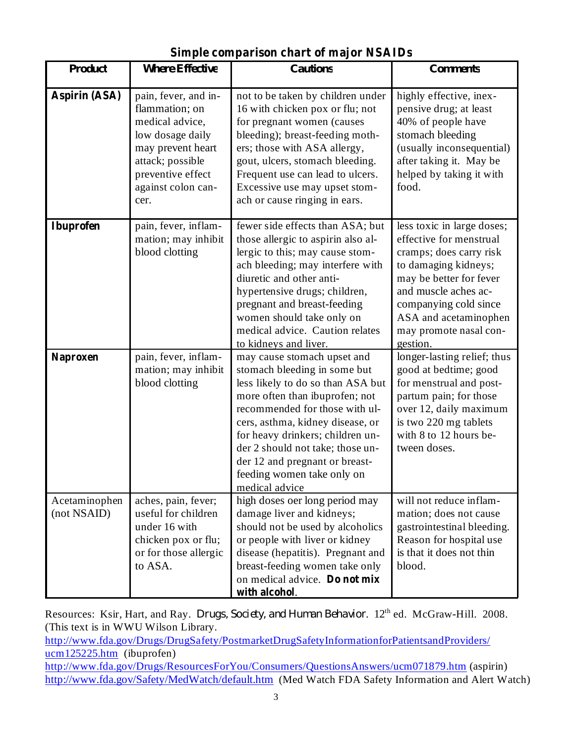| <b>Product</b>               | <b>Where Effective</b>                                                                                                                                                    | <b>Cautions</b>                                                                                                                                                                                                                                                                                                                                                    | <b>Comments</b>                                                                                                                                                                                                                                     |
|------------------------------|---------------------------------------------------------------------------------------------------------------------------------------------------------------------------|--------------------------------------------------------------------------------------------------------------------------------------------------------------------------------------------------------------------------------------------------------------------------------------------------------------------------------------------------------------------|-----------------------------------------------------------------------------------------------------------------------------------------------------------------------------------------------------------------------------------------------------|
| Aspirin (ASA)                | pain, fever, and in-<br>flammation; on<br>medical advice,<br>low dosage daily<br>may prevent heart<br>attack; possible<br>preventive effect<br>against colon can-<br>cer. | not to be taken by children under<br>16 with chicken pox or flu; not<br>for pregnant women (causes<br>bleeding); breast-feeding moth-<br>ers; those with ASA allergy,<br>gout, ulcers, stomach bleeding.<br>Frequent use can lead to ulcers.<br>Excessive use may upset stom-<br>ach or cause ringing in ears.                                                     | highly effective, inex-<br>pensive drug; at least<br>40% of people have<br>stomach bleeding<br>(usually inconsequential)<br>after taking it. May be<br>helped by taking it with<br>food.                                                            |
| <b>Ibuprofen</b>             | pain, fever, inflam-<br>mation; may inhibit<br>blood clotting                                                                                                             | fewer side effects than ASA; but<br>those allergic to aspirin also al-<br>lergic to this; may cause stom-<br>ach bleeding; may interfere with<br>diuretic and other anti-<br>hypertensive drugs; children,<br>pregnant and breast-feeding<br>women should take only on<br>medical advice. Caution relates<br>to kidneys and liver.                                 | less toxic in large doses;<br>effective for menstrual<br>cramps; does carry risk<br>to damaging kidneys;<br>may be better for fever<br>and muscle aches ac-<br>companying cold since<br>ASA and acetaminophen<br>may promote nasal con-<br>gestion. |
| <b>Naproxen</b>              | pain, fever, inflam-<br>mation; may inhibit<br>blood clotting                                                                                                             | may cause stomach upset and<br>stomach bleeding in some but<br>less likely to do so than ASA but<br>more often than ibuprofen; not<br>recommended for those with ul-<br>cers, asthma, kidney disease, or<br>for heavy drinkers; children un-<br>der 2 should not take; those un-<br>der 12 and pregnant or breast-<br>feeding women take only on<br>medical advice | longer-lasting relief; thus<br>good at bedtime; good<br>for menstrual and post-<br>partum pain; for those<br>over 12, daily maximum<br>is two 220 mg tablets<br>with 8 to 12 hours be-<br>tween doses.                                              |
| Acetaminophen<br>(not NSAID) | aches, pain, fever;<br>useful for children<br>under 16 with<br>chicken pox or flu;<br>or for those allergic<br>to ASA.                                                    | high doses oer long period may<br>damage liver and kidneys;<br>should not be used by alcoholics<br>or people with liver or kidney<br>disease (hepatitis). Pregnant and<br>breast-feeding women take only<br>on medical advice. Do not mix<br>with alcohol.                                                                                                         | will not reduce inflam-<br>mation; does not cause<br>gastrointestinal bleeding.<br>Reason for hospital use<br>is that it does not thin<br>blood.                                                                                                    |

**Simple comparison chart of major NSAIDs**

Resources: Ksir, Hart, and Ray. *Drugs, Society, and Human Behavior*. 12<sup>th</sup> ed. McGraw-Hill. 2008. (This text is in WWU Wilson Library.

http://www.fda.gov/Drugs/DrugSafety/PostmarketDrugSafetyInformationforPatientsandProviders/ ucm125225.htm (ibuprofen) http://www.fda.gov/Drugs/ResourcesForYou/Consumers/QuestionsAnswers/ucm071879.htm (aspirin) http://www.fda.gov/Safety/MedWatch/default.htm (Med Watch FDA Safety Information and Alert Watch)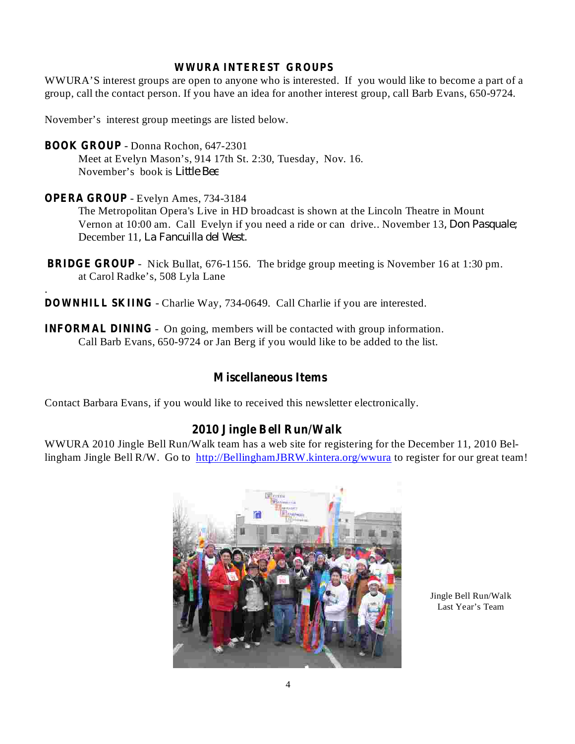#### **WWURA INTEREST GROUPS**

WWURA'S interest groups are open to anyone who is interested. If you would like to become a part of a group, call the contact person. If you have an idea for another interest group, call Barb Evans, 650-9724.

November's interest group meetings are listed below.

- Donna Rochon, 647-2301 **BOOK GROUP**

Meet at Evelyn Mason's, 914 17th St. 2:30, Tuesday, Nov. 16. November's book is *Little Bee*

#### - Evelyn Ames, 734-3184 **OPERA GROUP**

.

The Metropolitan Opera's Live in HD broadcast is shown at the Lincoln Theatre in Mount Vernon at 10:00 am. Call Evelyn if you need a ride or can drive.. November 13 *, Don Pasquale;* December 11 *, La Fancuilla del West.*

- **BRIDGE GROUP** Nick Bullat, 676-1156. The bridge group meeting is November 16 at 1:30 pm. at Carol Radke's, 508 Lyla Lane
- **DOWNHILL SKIING** Charlie Way, 734-0649. Call Charlie if you are interested.
- **INFORMAL DINING** On going, members will be contacted with group information. Call Barb Evans, 650-9724 or Jan Berg if you would like to be added to the list.

### **Miscellaneous Items**

Contact Barbara Evans, if you would like to received this newsletter electronically.

### **2010 Jingle Bell Run/Walk**

WWURA 2010 Jingle Bell Run/Walk team has a web site for registering for the December 11, 2010 Bellingham Jingle Bell R/W. Go to http://BellinghamJBRW.kintera.org/wwura to register for our great team!



Jingle Bell Run/Walk Last Year's Team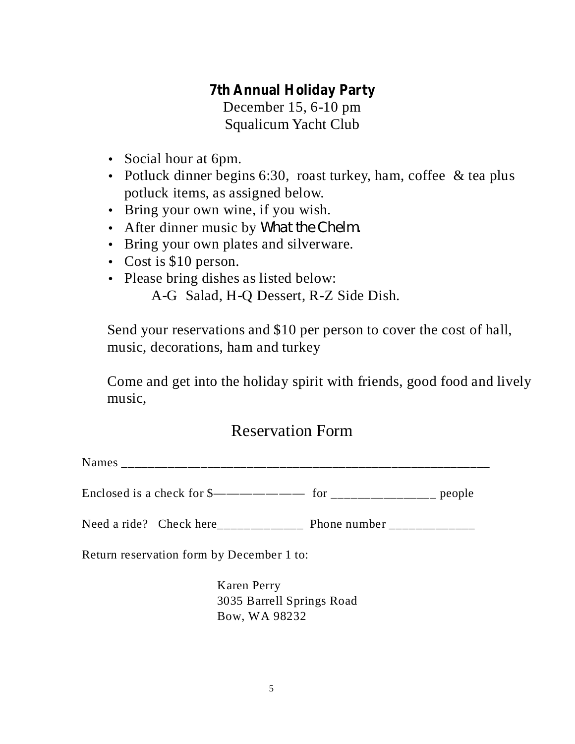### **7th Annual Holiday Party**

December 15, 6-10 pm Squalicum Yacht Club

- Social hour at 6pm.
- Potluck dinner begins 6:30, roast turkey, ham, coffee & tea plus potluck items, as assigned below.
- Bring your own wine, if you wish.
- After dinner music by *What the Chelm.*
- Bring your own plates and silverware.
- Cost is \$10 person.
- Please bring dishes as listed below:

A-G Salad, H-Q Dessert, R-Z Side Dish.

Send your reservations and \$10 per person to cover the cost of hall, music, decorations, ham and turkey

Come and get into the holiday spirit with friends, good food and lively music,

## Reservation Form

Names **we have all the set of the set of the set of the set of the set of the set of the set of the set of the set of the set of the set of the set of the set of the set of the set of the set of the set of the set of the s** 

Enclosed is a check for  $\frac{\gamma_{\text{max}}}{\gamma_{\text{max}}}$  for  $\frac{\gamma_{\text{max}}}{\gamma_{\text{max}}}$  people

Need a ride? Check here Phone number

Return reservation form by December 1 to:

Karen Perry 3035 Barrell Springs Road Bow, WA 98232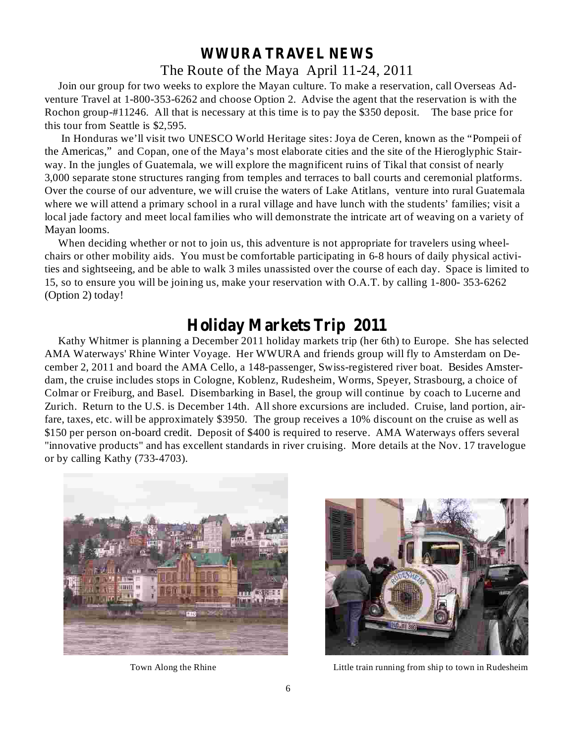### **WWURA TRAVEL NEWS** The Route of the Maya April 11-24, 2011

Join our group for two weeks to explore the Mayan culture. To make a reservation, call Overseas Adventure Travel at 1-800-353-6262 and choose Option 2. Advise the agent that the reservation is with the Rochon group-#11246. All that is necessary at this time is to pay the \$350 deposit. The base price for this tour from Seattle is \$2,595.

In Honduras we'll visit two UNESCO World Heritage sites: Joya de Ceren, known as the "Pompeii of the Americas," and Copan, one of the Maya's most elaborate cities and the site of the Hieroglyphic Stairway. In the jungles of Guatemala, we will explore the magnificent ruins of Tikal that consist of nearly 3,000 separate stone structures ranging from temples and terraces to ball courts and ceremonial platforms. Over the course of our adventure, we will cruise the waters of Lake Atitlans, venture into rural Guatemala where we will attend a primary school in a rural village and have lunch with the students' families; visit a local jade factory and meet local families who will demonstrate the intricate art of weaving on a variety of Mayan looms.

When deciding whether or not to join us, this adventure is not appropriate for travelers using wheelchairs or other mobility aids. You must be comfortable participating in 6-8 hours of daily physical activities and sightseeing, and be able to walk 3 miles unassisted over the course of each day. Space is limited to 15, so to ensure you will be joining us, make your reservation with O.A.T. by calling 1-800- 353-6262 (Option 2) today!

## **Holiday Markets Trip 2011**

Kathy Whitmer is planning a December 2011 holiday markets trip (her 6th) to Europe. She has selected AMA Waterways' Rhine Winter Voyage. Her WWURA and friends group will fly to Amsterdam on December 2, 2011 and board the AMA Cello, a 148-passenger, Swiss-registered river boat. Besides Amsterdam, the cruise includes stops in Cologne, Koblenz, Rudesheim, Worms, Speyer, Strasbourg, a choice of Colmar or Freiburg, and Basel. Disembarking in Basel, the group will continue by coach to Lucerne and Zurich. Return to the U.S. is December 14th. All shore excursions are included. Cruise, land portion, airfare, taxes, etc. will be approximately \$3950. The group receives a 10% discount on the cruise as well as \$150 per person on-board credit. Deposit of \$400 is required to reserve. AMA Waterways offers several "innovative products" and has excellent standards in river cruising. More details at the Nov. 17 travelogue or by calling Kathy (733-4703).





Town Along the Rhine **Little train running from ship to town in Rudesheim**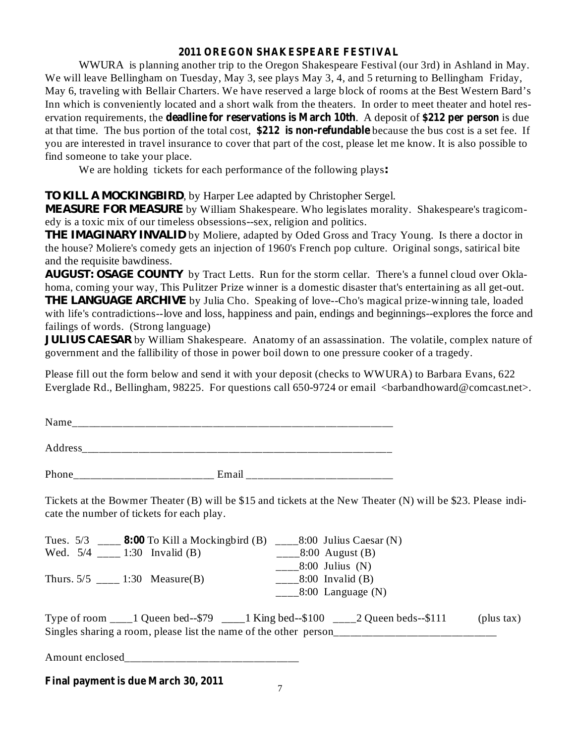#### **2011 OREGON SHAKESPEARE FESTIVAL**

**deadlerangleright headling for reservations is March 10th**. A deposit of \$212 per person is due at that time. The bus portion of the total cost, \$212 is non-refundable because the bus cost is a set fee. If WWURA is planning another trip to the Oregon Shakespeare Festival (our 3rd) in Ashland in May. We will leave Bellingham on Tuesday, May 3, see plays May 3, 4, and 5 returning to Bellingham Friday, May 6, traveling with Bellair Charters. We have reserved a large block of rooms at the Best Western Bard's Inn which is conveniently located and a short walk from the theaters. In order to meet theater and hotel resyou are interested in travel insurance to cover that part of the cost, please let me know. It is also possible to find someone to take your place.

We are holding tickets for each performance of the following plays *:*

### , by Harper Lee adapted by Christopher Sergel. *TO KILL A MOCKINGBIRD*

MEASURE FOR MEASURE by William Shakespeare. Who legislates morality. Shakespeare's tragicomedy is a toxic mix of our timeless obsessions--sex, religion and politics.

THE IMAGINARY INVALID by Moliere, adapted by Oded Gross and Tracy Young. Is there a doctor in the house? Moliere's comedy gets an injection of 1960's French pop culture. Original songs, satirical bite and the requisite bawdiness.

AUGUST: OSAGE COUNTY by Tract Letts. Run for the storm cellar. There's a funnel cloud over Oklahoma, coming your way, This Pulitzer Prize winner is a domestic disaster that's entertaining as all get-out. THE LANGUAGE ARCHIVE by Julia Cho. Speaking of love--Cho's magical prize-winning tale, loaded with life's contradictions--love and loss, happiness and pain, endings and beginnings--explores the force and failings of words. (Strong language)

by William Shakespeare. Anatomy of an assassination. The volatile, complex nature of *JULIUS CAESAR*government and the fallibility of those in power boil down to one pressure cooker of a tragedy.

Please fill out the form below and send it with your deposit (checks to WWURA) to Barbara Evans, 622 Everglade Rd., Bellingham, 98225. For questions call 650-9724 or email <br/>barbandhoward@comcast.net>.

| Name                     |            |
|--------------------------|------------|
| Address                  |            |
| Phone<br>_________<br>__ | Email<br>_ |

Tickets at the Bowmer Theater (B) will be \$15 and tickets at the New Theater (N) will be \$23. Please indicate the number of tickets for each play.

| Tues. $5/3$ ____ 8:00 To Kill a Mockingbird (B) ____8:00 Julius Caesar (N)                                                                                                        |                              |
|-----------------------------------------------------------------------------------------------------------------------------------------------------------------------------------|------------------------------|
| Wed. $5/4$ _____ 1:30 Invalid (B)                                                                                                                                                 | $\frac{8:00}{2}$ August (B)  |
|                                                                                                                                                                                   | $\_\_\_\$ 8:00 Julius (N)    |
| Thurs. $5/5$ ____ 1:30 Measure(B)                                                                                                                                                 | $\frac{8:00}{2}$ Invalid (B) |
|                                                                                                                                                                                   | $\_\_\_\$ 8:00 Language (N)  |
| Type of room $\_\_\_1$ Queen bed--\$79 $\_\_\_1$ King bed--\$100 $\_\_\_2$ Queen beds--\$111<br>Singles sharing a room, please list the name of the other person_________________ | (plus tax)                   |

Amount enclosed

**Final payment is due March 30, 2011**